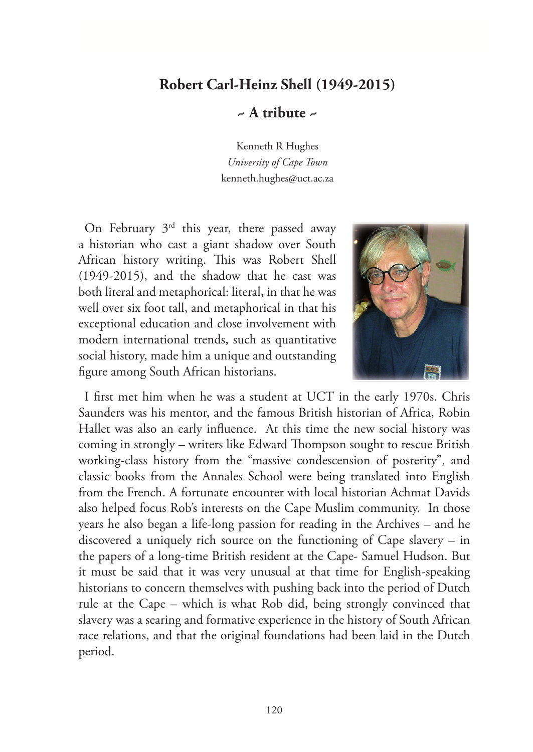## **Robert Carl-Heinz Shell (1949-2015)**

## **~ A tribute ~**

Kenneth R Hughes *University of Cape Town* kenneth.hughes@uct.ac.za

On February  $3<sup>rd</sup>$  this year, there passed away a historian who cast a giant shadow over South African history writing. This was Robert Shell (1949-2015), and the shadow that he cast was both literal and metaphorical: literal, in that he was well over six foot tall, and metaphorical in that his exceptional education and close involvement with modern international trends, such as quantitative social history, made him a unique and outstanding figure among South African historians.



I first met him when he was a student at UCT in the early 1970s. Chris Saunders was his mentor, and the famous British historian of Africa, Robin Hallet was also an early influence. At this time the new social history was coming in strongly – writers like Edward Thompson sought to rescue British working-class history from the "massive condescension of posterity", and classic books from the Annales School were being translated into English from the French. A fortunate encounter with local historian Achmat Davids also helped focus Rob's interests on the Cape Muslim community. In those years he also began a life-long passion for reading in the Archives – and he discovered a uniquely rich source on the functioning of Cape slavery – in the papers of a long-time British resident at the Cape- Samuel Hudson. But it must be said that it was very unusual at that time for English-speaking historians to concern themselves with pushing back into the period of Dutch rule at the Cape – which is what Rob did, being strongly convinced that slavery was a searing and formative experience in the history of South African race relations, and that the original foundations had been laid in the Dutch period.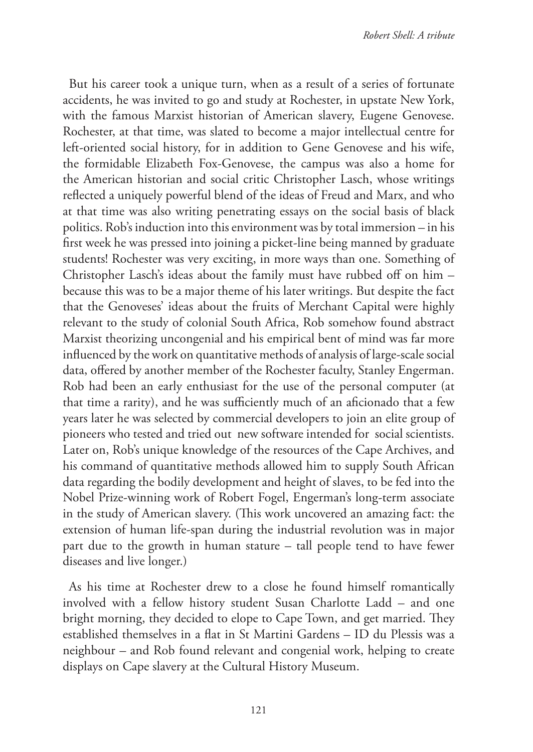But his career took a unique turn, when as a result of a series of fortunate accidents, he was invited to go and study at Rochester, in upstate New York, with the famous Marxist historian of American slavery, Eugene Genovese. Rochester, at that time, was slated to become a major intellectual centre for left-oriented social history, for in addition to Gene Genovese and his wife, the formidable Elizabeth Fox-Genovese, the campus was also a home for the American historian and social critic Christopher Lasch, whose writings reflected a uniquely powerful blend of the ideas of Freud and Marx, and who at that time was also writing penetrating essays on the social basis of black politics. Rob's induction into this environment was by total immersion – in his first week he was pressed into joining a picket-line being manned by graduate students! Rochester was very exciting, in more ways than one. Something of Christopher Lasch's ideas about the family must have rubbed off on him – because this was to be a major theme of his later writings. But despite the fact that the Genoveses' ideas about the fruits of Merchant Capital were highly relevant to the study of colonial South Africa, Rob somehow found abstract Marxist theorizing uncongenial and his empirical bent of mind was far more influenced by the work on quantitative methods of analysis of large-scale social data, offered by another member of the Rochester faculty, Stanley Engerman. Rob had been an early enthusiast for the use of the personal computer (at that time a rarity), and he was sufficiently much of an aficionado that a few years later he was selected by commercial developers to join an elite group of pioneers who tested and tried out new software intended for social scientists. Later on, Rob's unique knowledge of the resources of the Cape Archives, and his command of quantitative methods allowed him to supply South African data regarding the bodily development and height of slaves, to be fed into the Nobel Prize-winning work of Robert Fogel, Engerman's long-term associate in the study of American slavery. (This work uncovered an amazing fact: the extension of human life-span during the industrial revolution was in major part due to the growth in human stature – tall people tend to have fewer diseases and live longer.)

As his time at Rochester drew to a close he found himself romantically involved with a fellow history student Susan Charlotte Ladd – and one bright morning, they decided to elope to Cape Town, and get married. They established themselves in a flat in St Martini Gardens – ID du Plessis was a neighbour – and Rob found relevant and congenial work, helping to create displays on Cape slavery at the Cultural History Museum.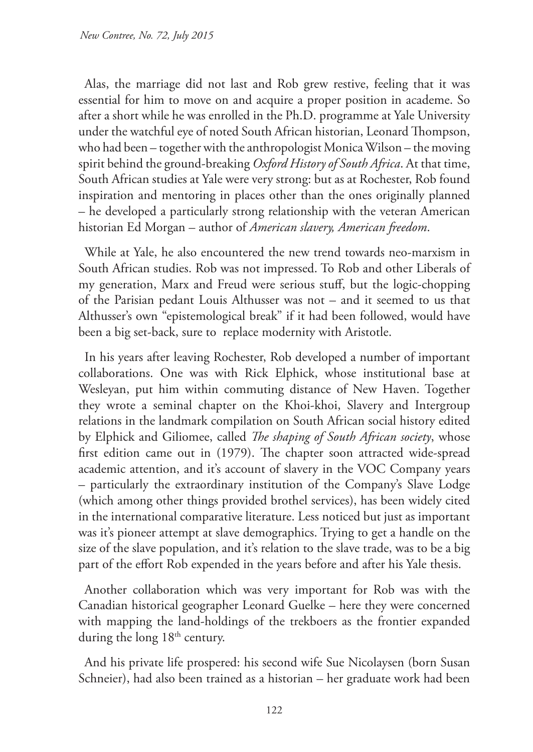Alas, the marriage did not last and Rob grew restive, feeling that it was essential for him to move on and acquire a proper position in academe. So after a short while he was enrolled in the Ph.D. programme at Yale University under the watchful eye of noted South African historian, Leonard Thompson, who had been – together with the anthropologist Monica Wilson – the moving spirit behind the ground-breaking *Oxford History of South Africa*. At that time, South African studies at Yale were very strong: but as at Rochester, Rob found inspiration and mentoring in places other than the ones originally planned – he developed a particularly strong relationship with the veteran American historian Ed Morgan – author of *American slavery, American freedom*.

While at Yale, he also encountered the new trend towards neo-marxism in South African studies. Rob was not impressed. To Rob and other Liberals of my generation, Marx and Freud were serious stuff, but the logic-chopping of the Parisian pedant Louis Althusser was not – and it seemed to us that Althusser's own "epistemological break" if it had been followed, would have been a big set-back, sure to replace modernity with Aristotle.

In his years after leaving Rochester, Rob developed a number of important collaborations. One was with Rick Elphick, whose institutional base at Wesleyan, put him within commuting distance of New Haven. Together they wrote a seminal chapter on the Khoi-khoi, Slavery and Intergroup relations in the landmark compilation on South African social history edited by Elphick and Giliomee, called *The shaping of South African society*, whose first edition came out in (1979). The chapter soon attracted wide-spread academic attention, and it's account of slavery in the VOC Company years – particularly the extraordinary institution of the Company's Slave Lodge (which among other things provided brothel services), has been widely cited in the international comparative literature. Less noticed but just as important was it's pioneer attempt at slave demographics. Trying to get a handle on the size of the slave population, and it's relation to the slave trade, was to be a big part of the effort Rob expended in the years before and after his Yale thesis.

Another collaboration which was very important for Rob was with the Canadian historical geographer Leonard Guelke – here they were concerned with mapping the land-holdings of the trekboers as the frontier expanded during the long  $18<sup>th</sup>$  century.

And his private life prospered: his second wife Sue Nicolaysen (born Susan Schneier), had also been trained as a historian – her graduate work had been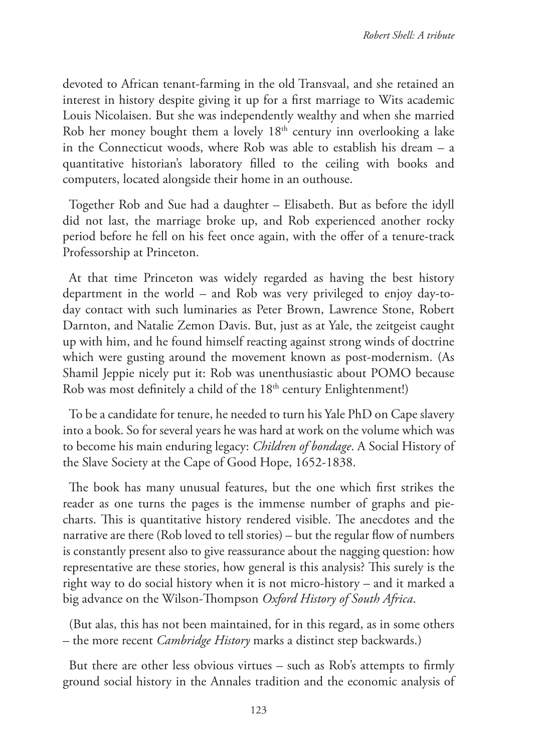devoted to African tenant-farming in the old Transvaal, and she retained an interest in history despite giving it up for a first marriage to Wits academic Louis Nicolaisen. But she was independently wealthy and when she married Rob her money bought them a lovely 18th century inn overlooking a lake in the Connecticut woods, where Rob was able to establish his dream – a quantitative historian's laboratory filled to the ceiling with books and computers, located alongside their home in an outhouse.

Together Rob and Sue had a daughter – Elisabeth. But as before the idyll did not last, the marriage broke up, and Rob experienced another rocky period before he fell on his feet once again, with the offer of a tenure-track Professorship at Princeton.

At that time Princeton was widely regarded as having the best history department in the world – and Rob was very privileged to enjoy day-today contact with such luminaries as Peter Brown, Lawrence Stone, Robert Darnton, and Natalie Zemon Davis. But, just as at Yale, the zeitgeist caught up with him, and he found himself reacting against strong winds of doctrine which were gusting around the movement known as post-modernism. (As Shamil Jeppie nicely put it: Rob was unenthusiastic about POMO because Rob was most definitely a child of the 18<sup>th</sup> century Enlightenment!)

To be a candidate for tenure, he needed to turn his Yale PhD on Cape slavery into a book. So for several years he was hard at work on the volume which was to become his main enduring legacy: *Children of bondage*. A Social History of the Slave Society at the Cape of Good Hope, 1652-1838.

The book has many unusual features, but the one which first strikes the reader as one turns the pages is the immense number of graphs and piecharts. This is quantitative history rendered visible. The anecdotes and the narrative are there (Rob loved to tell stories) – but the regular flow of numbers is constantly present also to give reassurance about the nagging question: how representative are these stories, how general is this analysis? This surely is the right way to do social history when it is not micro-history – and it marked a big advance on the Wilson-Thompson *Oxford History of South Africa*.

(But alas, this has not been maintained, for in this regard, as in some others – the more recent *Cambridge History* marks a distinct step backwards.)

But there are other less obvious virtues – such as Rob's attempts to firmly ground social history in the Annales tradition and the economic analysis of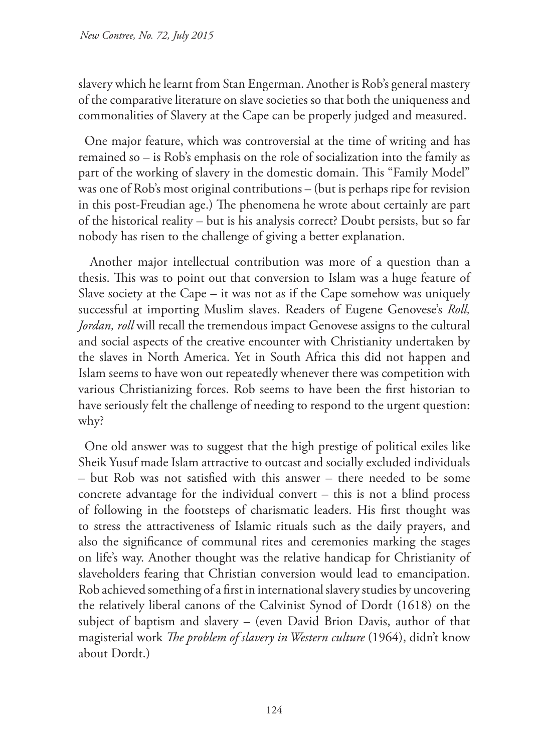slavery which he learnt from Stan Engerman. Another is Rob's general mastery of the comparative literature on slave societies so that both the uniqueness and commonalities of Slavery at the Cape can be properly judged and measured.

One major feature, which was controversial at the time of writing and has remained so – is Rob's emphasis on the role of socialization into the family as part of the working of slavery in the domestic domain. This "Family Model" was one of Rob's most original contributions – (but is perhaps ripe for revision in this post-Freudian age.) The phenomena he wrote about certainly are part of the historical reality – but is his analysis correct? Doubt persists, but so far nobody has risen to the challenge of giving a better explanation.

 Another major intellectual contribution was more of a question than a thesis. This was to point out that conversion to Islam was a huge feature of Slave society at the Cape – it was not as if the Cape somehow was uniquely successful at importing Muslim slaves. Readers of Eugene Genovese's *Roll, Jordan, roll* will recall the tremendous impact Genovese assigns to the cultural and social aspects of the creative encounter with Christianity undertaken by the slaves in North America. Yet in South Africa this did not happen and Islam seems to have won out repeatedly whenever there was competition with various Christianizing forces. Rob seems to have been the first historian to have seriously felt the challenge of needing to respond to the urgent question: why?

One old answer was to suggest that the high prestige of political exiles like Sheik Yusuf made Islam attractive to outcast and socially excluded individuals – but Rob was not satisfied with this answer – there needed to be some concrete advantage for the individual convert – this is not a blind process of following in the footsteps of charismatic leaders. His first thought was to stress the attractiveness of Islamic rituals such as the daily prayers, and also the significance of communal rites and ceremonies marking the stages on life's way. Another thought was the relative handicap for Christianity of slaveholders fearing that Christian conversion would lead to emancipation. Rob achieved something of a first in international slavery studies by uncovering the relatively liberal canons of the Calvinist Synod of Dordt (1618) on the subject of baptism and slavery – (even David Brion Davis, author of that magisterial work *The problem of slavery in Western culture* (1964), didn't know about Dordt.)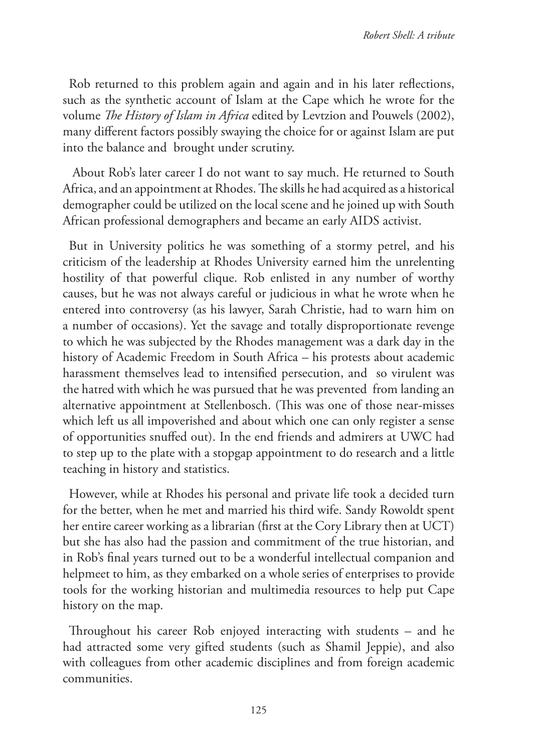Rob returned to this problem again and again and in his later reflections, such as the synthetic account of Islam at the Cape which he wrote for the volume *The History of Islam in Africa* edited by Levtzion and Pouwels (2002), many different factors possibly swaying the choice for or against Islam are put into the balance and brought under scrutiny.

 About Rob's later career I do not want to say much. He returned to South Africa, and an appointment at Rhodes. The skills he had acquired as a historical demographer could be utilized on the local scene and he joined up with South African professional demographers and became an early AIDS activist.

But in University politics he was something of a stormy petrel, and his criticism of the leadership at Rhodes University earned him the unrelenting hostility of that powerful clique. Rob enlisted in any number of worthy causes, but he was not always careful or judicious in what he wrote when he entered into controversy (as his lawyer, Sarah Christie, had to warn him on a number of occasions). Yet the savage and totally disproportionate revenge to which he was subjected by the Rhodes management was a dark day in the history of Academic Freedom in South Africa – his protests about academic harassment themselves lead to intensified persecution, and so virulent was the hatred with which he was pursued that he was prevented from landing an alternative appointment at Stellenbosch. (This was one of those near-misses which left us all impoverished and about which one can only register a sense of opportunities snuffed out). In the end friends and admirers at UWC had to step up to the plate with a stopgap appointment to do research and a little teaching in history and statistics.

However, while at Rhodes his personal and private life took a decided turn for the better, when he met and married his third wife. Sandy Rowoldt spent her entire career working as a librarian (first at the Cory Library then at UCT) but she has also had the passion and commitment of the true historian, and in Rob's final years turned out to be a wonderful intellectual companion and helpmeet to him, as they embarked on a whole series of enterprises to provide tools for the working historian and multimedia resources to help put Cape history on the map.

Throughout his career Rob enjoyed interacting with students – and he had attracted some very gifted students (such as Shamil Jeppie), and also with colleagues from other academic disciplines and from foreign academic communities.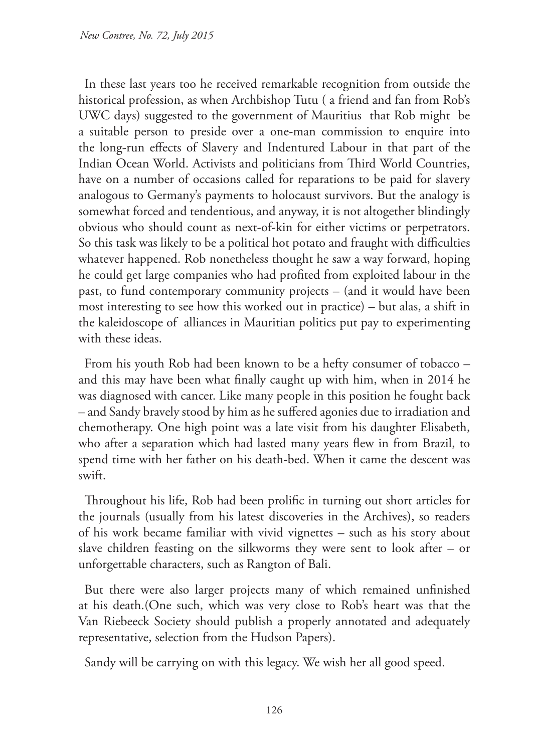In these last years too he received remarkable recognition from outside the historical profession, as when Archbishop Tutu ( a friend and fan from Rob's UWC days) suggested to the government of Mauritius that Rob might be a suitable person to preside over a one-man commission to enquire into the long-run effects of Slavery and Indentured Labour in that part of the Indian Ocean World. Activists and politicians from Third World Countries, have on a number of occasions called for reparations to be paid for slavery analogous to Germany's payments to holocaust survivors. But the analogy is somewhat forced and tendentious, and anyway, it is not altogether blindingly obvious who should count as next-of-kin for either victims or perpetrators. So this task was likely to be a political hot potato and fraught with difficulties whatever happened. Rob nonetheless thought he saw a way forward, hoping he could get large companies who had profited from exploited labour in the past, to fund contemporary community projects – (and it would have been most interesting to see how this worked out in practice) – but alas, a shift in the kaleidoscope of alliances in Mauritian politics put pay to experimenting with these ideas.

From his youth Rob had been known to be a hefty consumer of tobacco – and this may have been what finally caught up with him, when in 2014 he was diagnosed with cancer. Like many people in this position he fought back – and Sandy bravely stood by him as he suffered agonies due to irradiation and chemotherapy. One high point was a late visit from his daughter Elisabeth, who after a separation which had lasted many years flew in from Brazil, to spend time with her father on his death-bed. When it came the descent was swift.

Throughout his life, Rob had been prolific in turning out short articles for the journals (usually from his latest discoveries in the Archives), so readers of his work became familiar with vivid vignettes – such as his story about slave children feasting on the silkworms they were sent to look after – or unforgettable characters, such as Rangton of Bali.

But there were also larger projects many of which remained unfinished at his death.(One such, which was very close to Rob's heart was that the Van Riebeeck Society should publish a properly annotated and adequately representative, selection from the Hudson Papers).

Sandy will be carrying on with this legacy. We wish her all good speed.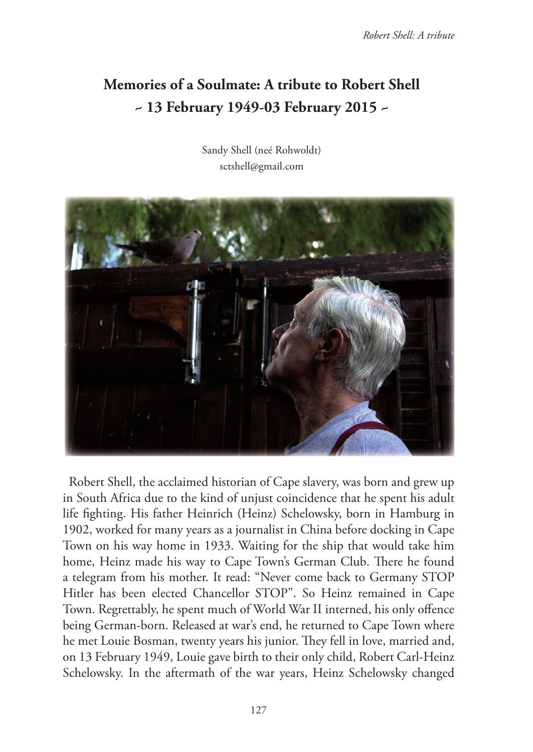## **Memories of a Soulmate: A tribute to Robert Shell ~ 13 February 1949-03 February 2015 ~**

Sandy Shell (neé Rohwoldt) sctshell@gmail.com



Robert Shell, the acclaimed historian of Cape slavery, was born and grew up in South Africa due to the kind of unjust coincidence that he spent his adult life fighting. His father Heinrich (Heinz) Schelowsky, born in Hamburg in 1902, worked for many years as a journalist in China before docking in Cape Town on his way home in 1933. Waiting for the ship that would take him home, Heinz made his way to Cape Town's German Club. There he found a telegram from his mother. It read: "Never come back to Germany STOP Hitler has been elected Chancellor STOP". So Heinz remained in Cape Town. Regrettably, he spent much of World War II interned, his only offence being German-born. Released at war's end, he returned to Cape Town where he met Louie Bosman, twenty years his junior. They fell in love, married and, on 13 February 1949, Louie gave birth to their only child, Robert Carl-Heinz Schelowsky. In the aftermath of the war years, Heinz Schelowsky changed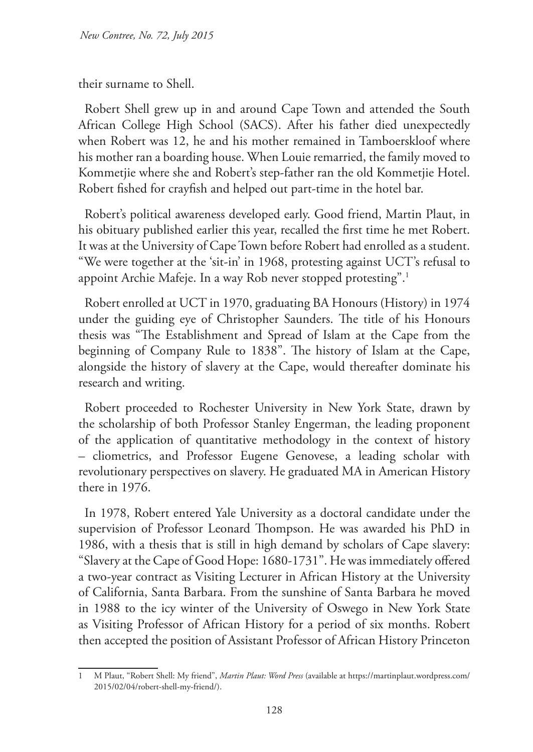their surname to Shell.

Robert Shell grew up in and around Cape Town and attended the South African College High School (SACS). After his father died unexpectedly when Robert was 12, he and his mother remained in Tamboerskloof where his mother ran a boarding house. When Louie remarried, the family moved to Kommetjie where she and Robert's step-father ran the old Kommetjie Hotel. Robert fished for crayfish and helped out part-time in the hotel bar.

Robert's political awareness developed early. Good friend, Martin Plaut, in his obituary published earlier this year, recalled the first time he met Robert. It was at the University of Cape Town before Robert had enrolled as a student. "We were together at the 'sit-in' in 1968, protesting against UCT's refusal to appoint Archie Mafeje. In a way Rob never stopped protesting".1

Robert enrolled at UCT in 1970, graduating BA Honours (History) in 1974 under the guiding eye of Christopher Saunders. The title of his Honours thesis was "The Establishment and Spread of Islam at the Cape from the beginning of Company Rule to 1838". The history of Islam at the Cape, alongside the history of slavery at the Cape, would thereafter dominate his research and writing.

Robert proceeded to Rochester University in New York State, drawn by the scholarship of both Professor Stanley Engerman, the leading proponent of the application of quantitative methodology in the context of history – cliometrics, and Professor Eugene Genovese, a leading scholar with revolutionary perspectives on slavery. He graduated MA in American History there in 1976.

In 1978, Robert entered Yale University as a doctoral candidate under the supervision of Professor Leonard Thompson. He was awarded his PhD in 1986, with a thesis that is still in high demand by scholars of Cape slavery: "Slavery at the Cape of Good Hope: 1680-1731". He was immediately offered a two-year contract as Visiting Lecturer in African History at the University of California, Santa Barbara. From the sunshine of Santa Barbara he moved in 1988 to the icy winter of the University of Oswego in New York State as Visiting Professor of African History for a period of six months. Robert then accepted the position of Assistant Professor of African History Princeton

<sup>1</sup> M Plaut, "Robert Shell: My friend", *Martin Plaut: Word Press* (available at https://martinplaut.wordpress.com/ 2015/02/04/robert-shell-my-friend/).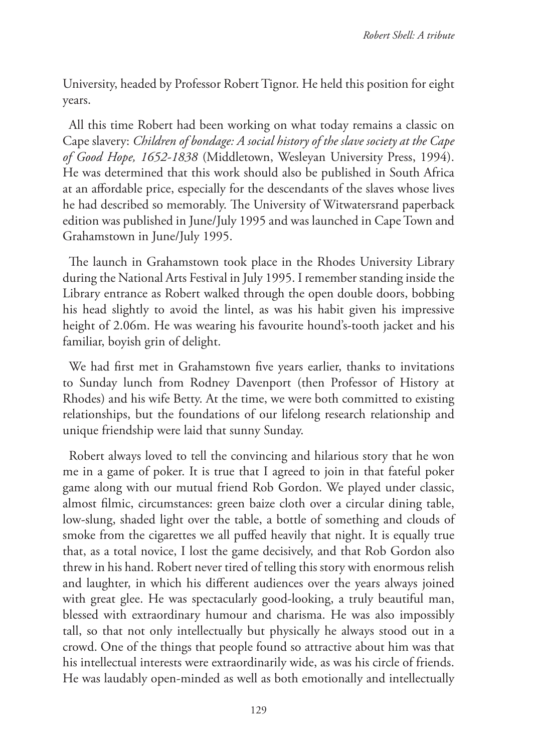University, headed by Professor Robert Tignor. He held this position for eight years.

All this time Robert had been working on what today remains a classic on Cape slavery: *Children of bondage: A social history of the slave society at the Cape of Good Hope, 1652-1838* (Middletown, Wesleyan University Press, 1994). He was determined that this work should also be published in South Africa at an affordable price, especially for the descendants of the slaves whose lives he had described so memorably. The University of Witwatersrand paperback edition was published in June/July 1995 and was launched in Cape Town and Grahamstown in June/July 1995.

The launch in Grahamstown took place in the Rhodes University Library during the National Arts Festival in July 1995. I remember standing inside the Library entrance as Robert walked through the open double doors, bobbing his head slightly to avoid the lintel, as was his habit given his impressive height of 2.06m. He was wearing his favourite hound's-tooth jacket and his familiar, boyish grin of delight.

We had first met in Grahamstown five years earlier, thanks to invitations to Sunday lunch from Rodney Davenport (then Professor of History at Rhodes) and his wife Betty. At the time, we were both committed to existing relationships, but the foundations of our lifelong research relationship and unique friendship were laid that sunny Sunday.

Robert always loved to tell the convincing and hilarious story that he won me in a game of poker. It is true that I agreed to join in that fateful poker game along with our mutual friend Rob Gordon. We played under classic, almost filmic, circumstances: green baize cloth over a circular dining table, low-slung, shaded light over the table, a bottle of something and clouds of smoke from the cigarettes we all puffed heavily that night. It is equally true that, as a total novice, I lost the game decisively, and that Rob Gordon also threw in his hand. Robert never tired of telling this story with enormous relish and laughter, in which his different audiences over the years always joined with great glee. He was spectacularly good-looking, a truly beautiful man, blessed with extraordinary humour and charisma. He was also impossibly tall, so that not only intellectually but physically he always stood out in a crowd. One of the things that people found so attractive about him was that his intellectual interests were extraordinarily wide, as was his circle of friends. He was laudably open-minded as well as both emotionally and intellectually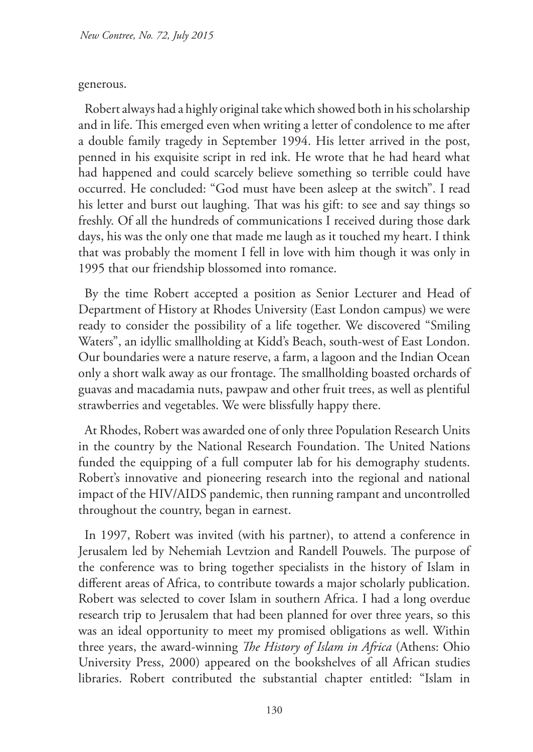## generous.

Robert always had a highly original take which showed both in his scholarship and in life. This emerged even when writing a letter of condolence to me after a double family tragedy in September 1994. His letter arrived in the post, penned in his exquisite script in red ink. He wrote that he had heard what had happened and could scarcely believe something so terrible could have occurred. He concluded: "God must have been asleep at the switch". I read his letter and burst out laughing. That was his gift: to see and say things so freshly. Of all the hundreds of communications I received during those dark days, his was the only one that made me laugh as it touched my heart. I think that was probably the moment I fell in love with him though it was only in 1995 that our friendship blossomed into romance.

By the time Robert accepted a position as Senior Lecturer and Head of Department of History at Rhodes University (East London campus) we were ready to consider the possibility of a life together. We discovered "Smiling Waters", an idyllic smallholding at Kidd's Beach, south-west of East London. Our boundaries were a nature reserve, a farm, a lagoon and the Indian Ocean only a short walk away as our frontage. The smallholding boasted orchards of guavas and macadamia nuts, pawpaw and other fruit trees, as well as plentiful strawberries and vegetables. We were blissfully happy there.

At Rhodes, Robert was awarded one of only three Population Research Units in the country by the National Research Foundation. The United Nations funded the equipping of a full computer lab for his demography students. Robert's innovative and pioneering research into the regional and national impact of the HIV/AIDS pandemic, then running rampant and uncontrolled throughout the country, began in earnest.

In 1997, Robert was invited (with his partner), to attend a conference in Jerusalem led by Nehemiah Levtzion and Randell Pouwels. The purpose of the conference was to bring together specialists in the history of Islam in different areas of Africa, to contribute towards a major scholarly publication. Robert was selected to cover Islam in southern Africa. I had a long overdue research trip to Jerusalem that had been planned for over three years, so this was an ideal opportunity to meet my promised obligations as well. Within three years, the award-winning *The History of Islam in Africa* (Athens: Ohio University Press, 2000) appeared on the bookshelves of all African studies libraries. Robert contributed the substantial chapter entitled: "Islam in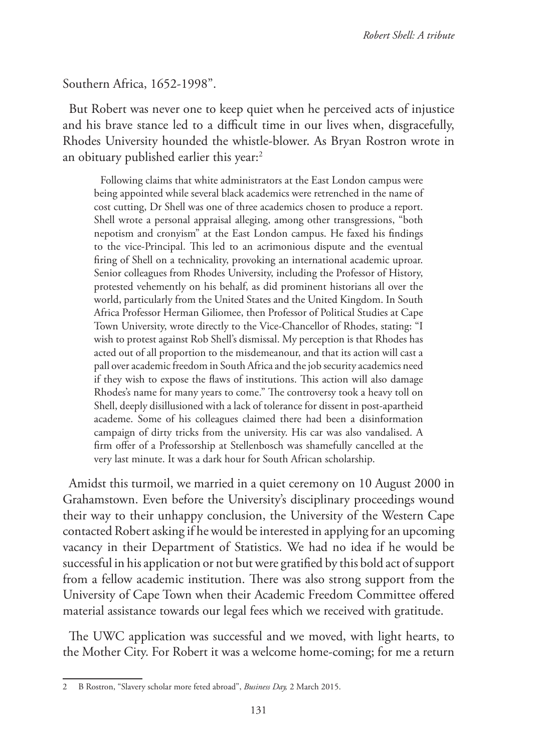Southern Africa, 1652-1998".

But Robert was never one to keep quiet when he perceived acts of injustice and his brave stance led to a difficult time in our lives when, disgracefully, Rhodes University hounded the whistle-blower. As Bryan Rostron wrote in an obituary published earlier this year:<sup>2</sup>

Following claims that white administrators at the East London campus were being appointed while several black academics were retrenched in the name of cost cutting, Dr Shell was one of three academics chosen to produce a report. Shell wrote a personal appraisal alleging, among other transgressions, "both nepotism and cronyism" at the East London campus. He faxed his findings to the vice-Principal. This led to an acrimonious dispute and the eventual firing of Shell on a technicality, provoking an international academic uproar. Senior colleagues from Rhodes University, including the Professor of History, protested vehemently on his behalf, as did prominent historians all over the world, particularly from the United States and the United Kingdom. In South Africa Professor Herman Giliomee, then Professor of Political Studies at Cape Town University, wrote directly to the Vice-Chancellor of Rhodes, stating: "I wish to protest against Rob Shell's dismissal. My perception is that Rhodes has acted out of all proportion to the misdemeanour, and that its action will cast a pall over academic freedom in South Africa and the job security academics need if they wish to expose the flaws of institutions. This action will also damage Rhodes's name for many years to come." The controversy took a heavy toll on Shell, deeply disillusioned with a lack of tolerance for dissent in post-apartheid academe. Some of his colleagues claimed there had been a disinformation campaign of dirty tricks from the university. His car was also vandalised. A firm offer of a Professorship at Stellenbosch was shamefully cancelled at the very last minute. It was a dark hour for South African scholarship.

Amidst this turmoil, we married in a quiet ceremony on 10 August 2000 in Grahamstown. Even before the University's disciplinary proceedings wound their way to their unhappy conclusion, the University of the Western Cape contacted Robert asking if he would be interested in applying for an upcoming vacancy in their Department of Statistics. We had no idea if he would be successful in his application or not but were gratified by this bold act of support from a fellow academic institution. There was also strong support from the University of Cape Town when their Academic Freedom Committee offered material assistance towards our legal fees which we received with gratitude.

The UWC application was successful and we moved, with light hearts, to the Mother City. For Robert it was a welcome home-coming; for me a return

<sup>2</sup> B Rostron, "Slavery scholar more feted abroad", *Business Day,* 2 March 2015.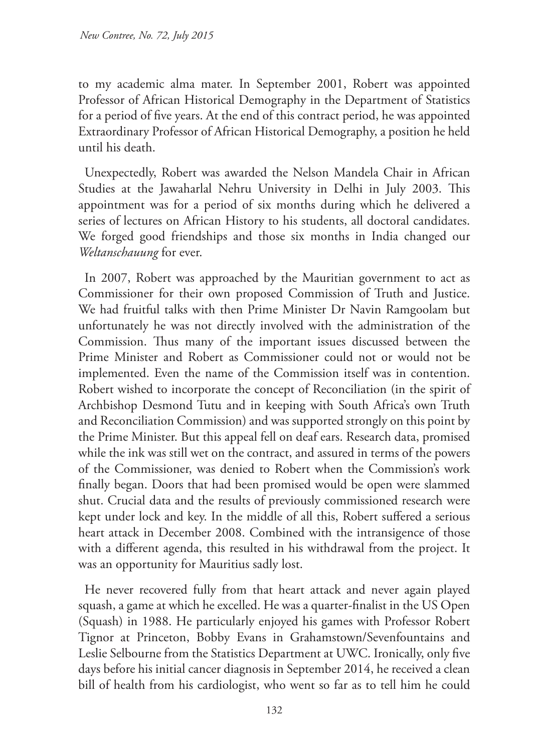to my academic alma mater. In September 2001, Robert was appointed Professor of African Historical Demography in the Department of Statistics for a period of five years. At the end of this contract period, he was appointed Extraordinary Professor of African Historical Demography, a position he held until his death.

Unexpectedly, Robert was awarded the Nelson Mandela Chair in African Studies at the Jawaharlal Nehru University in Delhi in July 2003. This appointment was for a period of six months during which he delivered a series of lectures on African History to his students, all doctoral candidates. We forged good friendships and those six months in India changed our *Weltanschauung* for ever.

In 2007, Robert was approached by the Mauritian government to act as Commissioner for their own proposed Commission of Truth and Justice. We had fruitful talks with then Prime Minister Dr Navin Ramgoolam but unfortunately he was not directly involved with the administration of the Commission. Thus many of the important issues discussed between the Prime Minister and Robert as Commissioner could not or would not be implemented. Even the name of the Commission itself was in contention. Robert wished to incorporate the concept of Reconciliation (in the spirit of Archbishop Desmond Tutu and in keeping with South Africa's own Truth and Reconciliation Commission) and was supported strongly on this point by the Prime Minister. But this appeal fell on deaf ears. Research data, promised while the ink was still wet on the contract, and assured in terms of the powers of the Commissioner, was denied to Robert when the Commission's work finally began. Doors that had been promised would be open were slammed shut. Crucial data and the results of previously commissioned research were kept under lock and key. In the middle of all this, Robert suffered a serious heart attack in December 2008. Combined with the intransigence of those with a different agenda, this resulted in his withdrawal from the project. It was an opportunity for Mauritius sadly lost.

He never recovered fully from that heart attack and never again played squash, a game at which he excelled. He was a quarter-finalist in the US Open (Squash) in 1988. He particularly enjoyed his games with Professor Robert Tignor at Princeton, Bobby Evans in Grahamstown/Sevenfountains and Leslie Selbourne from the Statistics Department at UWC. Ironically, only five days before his initial cancer diagnosis in September 2014, he received a clean bill of health from his cardiologist, who went so far as to tell him he could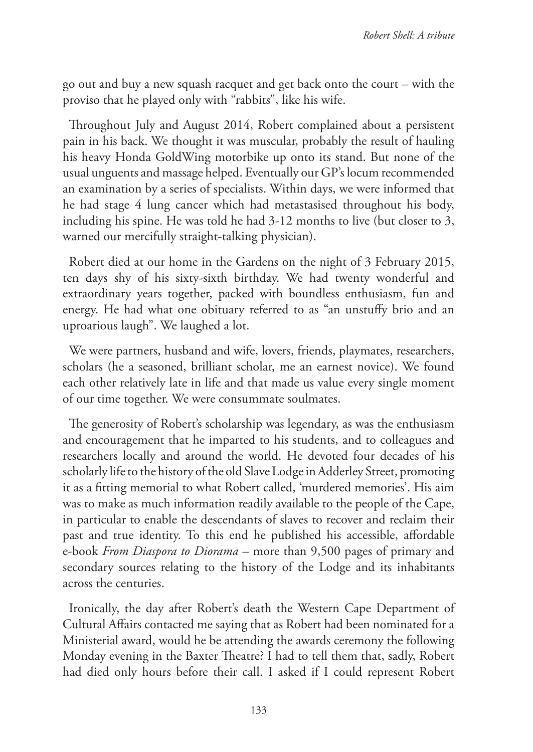go out and buy a new squash racquet and get back onto the court – with the proviso that he played only with "rabbits", like his wife.

Throughout July and August 2014, Robert complained about a persistent pain in his back. We thought it was muscular, probably the result of hauling his heavy Honda GoldWing motorbike up onto its stand. But none of the usual unguents and massage helped. Eventually our GP's locum recommended an examination by a series of specialists. Within days, we were informed that he had stage 4 lung cancer which had metastasised throughout his body, including his spine. He was told he had 3-12 months to live (but closer to 3, warned our mercifully straight-talking physician).

Robert died at our home in the Gardens on the night of 3 February 2015, ten days shy of his sixty-sixth birthday. We had twenty wonderful and extraordinary years together, packed with boundless enthusiasm, fun and energy. He had what one obituary referred to as "an unstuffy brio and an uproarious laugh". We laughed a lot.

We were partners, husband and wife, lovers, friends, playmates, researchers, scholars (he a seasoned, brilliant scholar, me an earnest novice). We found each other relatively late in life and that made us value every single moment of our time together. We were consummate soulmates.

The generosity of Robert's scholarship was legendary, as was the enthusiasm and encouragement that he imparted to his students, and to colleagues and researchers locally and around the world. He devoted four decades of his scholarly life to the history of the old Slave Lodge in Adderley Street, promoting it as a fitting memorial to what Robert called, 'murdered memories'. His aim was to make as much information readily available to the people of the Cape, in particular to enable the descendants of slaves to recover and reclaim their past and true identity. To this end he published his accessible, affordable e-book *From Diaspora to Diorama –* more than 9,500 pages of primary and secondary sources relating to the history of the Lodge and its inhabitants across the centuries.

Ironically, the day after Robert's death the Western Cape Department of Cultural Affairs contacted me saying that as Robert had been nominated for a Ministerial award, would he be attending the awards ceremony the following Monday evening in the Baxter Theatre? I had to tell them that, sadly, Robert had died only hours before their call. I asked if I could represent Robert